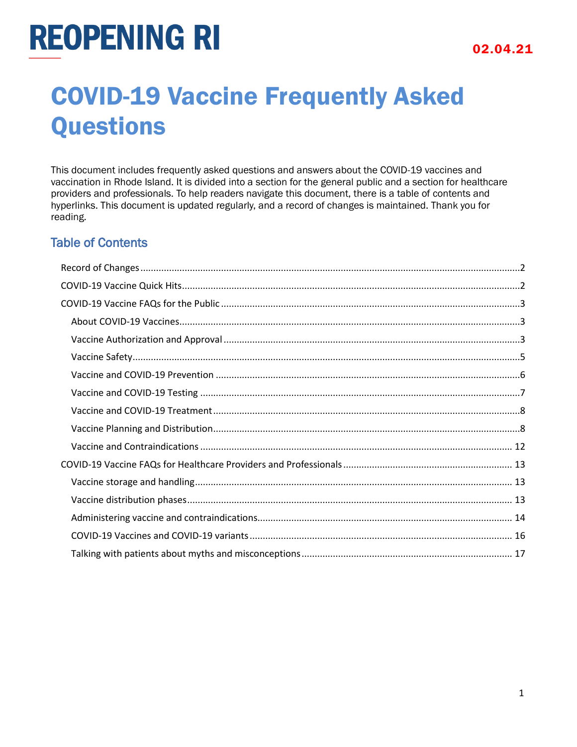## COVID-19 Vaccine Frequently Asked **Questions**

This document includes frequently asked questions and answers about the COVID-19 vaccines and vaccination in Rhode Island. It is divided into a section for the general public and a section for healthcare providers and professionals. To help readers navigate this document, there is a table of contents and hyperlinks. This document is updated regularly, and a record of changes is maintained. Thank you for reading.

## Table of Contents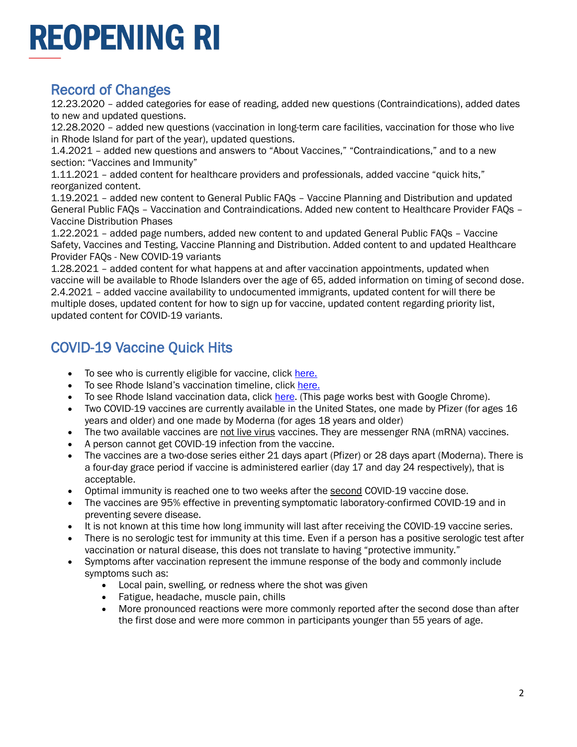## <span id="page-1-0"></span>Record of Changes

12.23.2020 – added categories for ease of reading, added new questions (Contraindications), added dates to new and updated questions.

12.28.2020 – added new questions (vaccination in long-term care facilities, vaccination for those who live in Rhode Island for part of the year), updated questions.

1.4.2021 – added new questions and answers to "About Vaccines," "Contraindications," and to a new section: "Vaccines and Immunity"

1.11.2021 – added content for healthcare providers and professionals, added vaccine "quick hits," reorganized content.

1.19.2021 – added new content to General Public FAQs – Vaccine Planning and Distribution and updated General Public FAQs – Vaccination and Contraindications. Added new content to Healthcare Provider FAQs – Vaccine Distribution Phases

1.22.2021 – added page numbers, added new content to and updated General Public FAQs – Vaccine Safety, Vaccines and Testing, Vaccine Planning and Distribution. Added content to and updated Healthcare Provider FAQs - New COVID-19 variants

1.28.2021 – added content for what happens at and after vaccination appointments, updated when vaccine will be available to Rhode Islanders over the age of 65, added information on timing of second dose. 2.4.2021 – added vaccine availability to undocumented immigrants, updated content for will there be multiple doses, updated content for how to sign up for vaccine, updated content regarding priority list, updated content for COVID-19 variants.

## <span id="page-1-1"></span>COVID-19 Vaccine Quick Hits

- To see who is currently eligible for vaccine, clic[k here.](https://docs.google.com/spreadsheets/d/1rcqXfFqnv1o6AFZe1zczfkRvI6cL3-6uNrgP91da3gA/edit#gid=0)
- To see Rhode Island's vaccination timeline, click [here.](https://health.ri.gov/publications/guidelines/COVID19-vaccine-timeline.pdf)
- To see Rhode Island vaccination data, click [here.](https://ri-department-of-health-covid-19-data-rihealth.hub.arcgis.com/) (This page works best with Google Chrome).
- Two COVID-19 vaccines are currently available in the United States, one made by Pfizer (for ages 16 years and older) and one made by Moderna (for ages 18 years and older)
- The two available vaccines are not live virus vaccines. They are messenger RNA (mRNA) vaccines.
- A person cannot get COVID-19 infection from the vaccine.
- The vaccines are a two-dose series either 21 days apart (Pfizer) or 28 days apart (Moderna). There is a four-day grace period if vaccine is administered earlier (day 17 and day 24 respectively), that is acceptable.
- Optimal immunity is reached one to two weeks after the second COVID-19 vaccine dose.
- The vaccines are 95% effective in preventing symptomatic laboratory-confirmed COVID-19 and in preventing severe disease.
- It is not known at this time how long immunity will last after receiving the COVID-19 vaccine series.
- There is no serologic test for immunity at this time. Even if a person has a positive serologic test after vaccination or natural disease, this does not translate to having "protective immunity."
- Symptoms after vaccination represent the immune response of the body and commonly include symptoms such as:
	- Local pain, swelling, or redness where the shot was given
	- Fatigue, headache, muscle pain, chills
	- More pronounced reactions were more commonly reported after the second dose than after the first dose and were more common in participants younger than 55 years of age.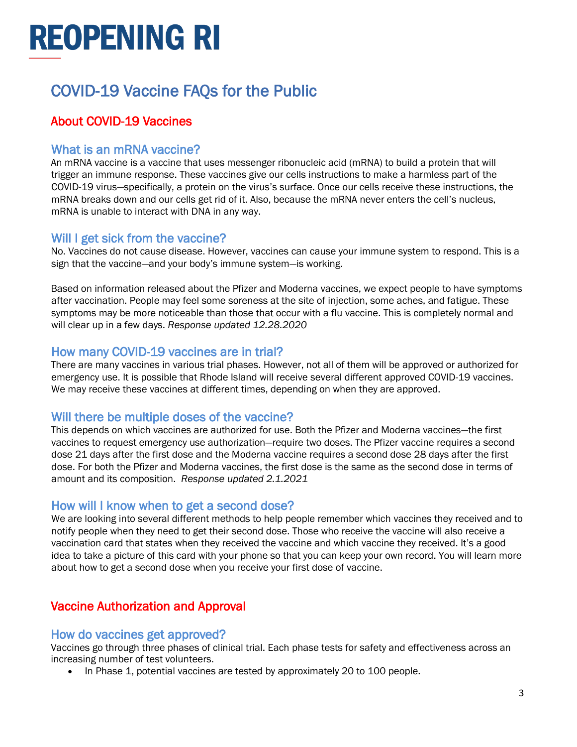## <span id="page-2-0"></span>COVID-19 Vaccine FAQs for the Public

## <span id="page-2-1"></span>About COVID-19 Vaccines

#### What is an mRNA vaccine?

An mRNA vaccine is a vaccine that uses messenger ribonucleic acid (mRNA) to build a protein that will trigger an immune response. These vaccines give our cells instructions to make a harmless part of the COVID-19 virus—specifically, a protein on the virus's surface. Once our cells receive these instructions, the mRNA breaks down and our cells get rid of it. Also, because the mRNA never enters the cell's nucleus, mRNA is unable to interact with DNA in any way.

#### Will I get sick from the vaccine?

No. Vaccines do not cause disease. However, vaccines can cause your immune system to respond. This is a sign that the vaccine—and your body's immune system—is working.

Based on information released about the Pfizer and Moderna vaccines, we expect people to have symptoms after vaccination. People may feel some soreness at the site of injection, some aches, and fatigue. These symptoms may be more noticeable than those that occur with a flu vaccine. This is completely normal and will clear up in a few days. *Response updated 12.28.2020*

#### How many COVID-19 vaccines are in trial?

There are many vaccines in various trial phases. However, not all of them will be approved or authorized for emergency use. It is possible that Rhode Island will receive several different approved COVID-19 vaccines. We may receive these vaccines at different times, depending on when they are approved.

### Will there be multiple doses of the vaccine?

This depends on which vaccines are authorized for use. Both the Pfizer and Moderna vaccines—the first vaccines to request emergency use authorization—require two doses. The Pfizer vaccine requires a second dose 21 days after the first dose and the Moderna vaccine requires a second dose 28 days after the first dose. For both the Pfizer and Moderna vaccines, the first dose is the same as the second dose in terms of amount and its composition. *Response updated 2.1.2021*

#### How will I know when to get a second dose?

We are looking into several different methods to help people remember which vaccines they received and to notify people when they need to get their second dose. Those who receive the vaccine will also receive a vaccination card that states when they received the vaccine and which vaccine they received. It's a good idea to take a picture of this card with your phone so that you can keep your own record. You will learn more about how to get a second dose when you receive your first dose of vaccine.

## <span id="page-2-2"></span>Vaccine Authorization and Approval

#### How do vaccines get approved?

Vaccines go through three phases of clinical trial. Each phase tests for safety and effectiveness across an increasing number of test volunteers.

• In Phase 1, potential vaccines are tested by approximately 20 to 100 people.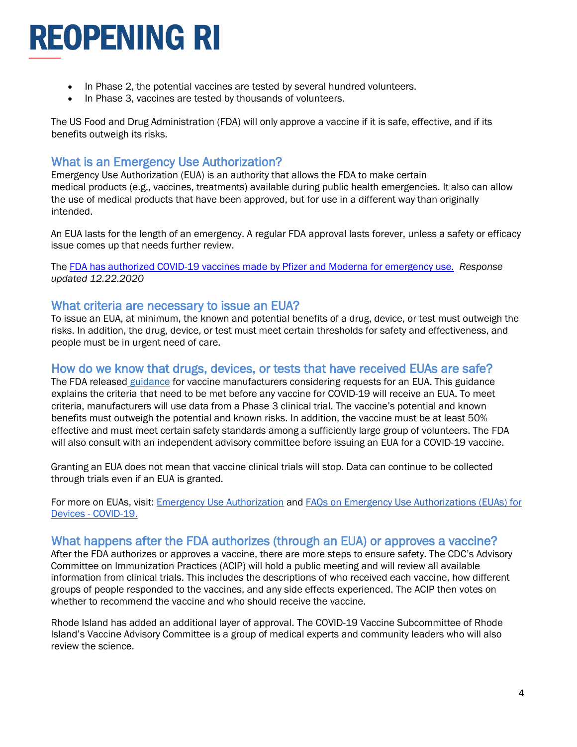- In Phase 2, the potential vaccines are tested by several hundred volunteers.
- In Phase 3, vaccines are tested by thousands of volunteers.

The US Food and Drug Administration (FDA) will only approve a vaccine if it is safe, effective, and if its benefits outweigh its risks.

### What is an Emergency Use Authorization?

Emergency Use Authorization (EUA) is an authority that allows the FDA to make certain medical products (e.g., vaccines, treatments) available during public health emergencies. It also can allow the use of medical products that have been approved, but for use in a different way than originally intended.

An EUA lasts for the length of an emergency. A regular FDA approval lasts forever, unless a safety or efficacy issue comes up that needs further review.

The [FDA has authorized COVID-19 vaccines made by Pfizer and Moderna for emergency use.](https://www.cdc.gov/vaccines/covid-19/eua/index.html) *Response updated 12.22.2020*

#### What criteria are necessary to issue an EUA?

To issue an EUA, at minimum, the known and potential benefits of a drug, device, or test must outweigh the risks. In addition, the drug, device, or test must meet certain thresholds for safety and effectiveness, and people must be in urgent need of care.

#### How do we know that drugs, devices, or tests that have received EUAs are safe?

The FDA released [guidance](https://www.fda.gov/regulatory-information/search-fda-guidance-documents/emergency-use-authorization-vaccines-prevent-covid-19) for vaccine manufacturers considering requests for an EUA. This guidance explains the criteria that need to be met before any vaccine for COVID-19 will receive an EUA. To meet criteria, manufacturers will use data from a Phase 3 clinical trial. The vaccine's potential and known benefits must outweigh the potential and known risks. In addition, the vaccine must be at least 50% effective and must meet certain safety standards among a sufficiently large group of volunteers. The FDA will also consult with an independent advisory committee before issuing an EUA for a COVID-19 vaccine.

Granting an EUA does not mean that vaccine clinical trials will stop. Data can continue to be collected through trials even if an EUA is granted.

For more on EUAs, visit: [Emergency Use Authorization](https://www.fda.gov/emergency-preparedness-and-response/mcm-legal-regulatory-and-policy-framework/emergency-use-authorization) and [FAQs on Emergency Use Authorizations \(EUAs\) for](https://www.fda.gov/medical-devices/coronavirus-disease-2019-covid-19-emergency-use-authorizations-medical-devices/faqs-emergency-use-authorizations-euas-medical-devices-during-covid-19-pandemic)  Devices - [COVID-19.](https://www.fda.gov/medical-devices/coronavirus-disease-2019-covid-19-emergency-use-authorizations-medical-devices/faqs-emergency-use-authorizations-euas-medical-devices-during-covid-19-pandemic)

#### What happens after the FDA authorizes (through an EUA) or approves a vaccine?

After the FDA authorizes or approves a vaccine, there are more steps to ensure safety. The CDC's Advisory Committee on Immunization Practices (ACIP) will hold a public meeting and will review all available information from clinical trials. This includes the descriptions of who received each vaccine, how different groups of people responded to the vaccines, and any side effects experienced. The ACIP then votes on whether to recommend the vaccine and who should receive the vaccine.

Rhode Island has added an additional layer of approval. The COVID-19 Vaccine Subcommittee of Rhode Island's Vaccine Advisory Committee is a group of medical experts and community leaders who will also review the science.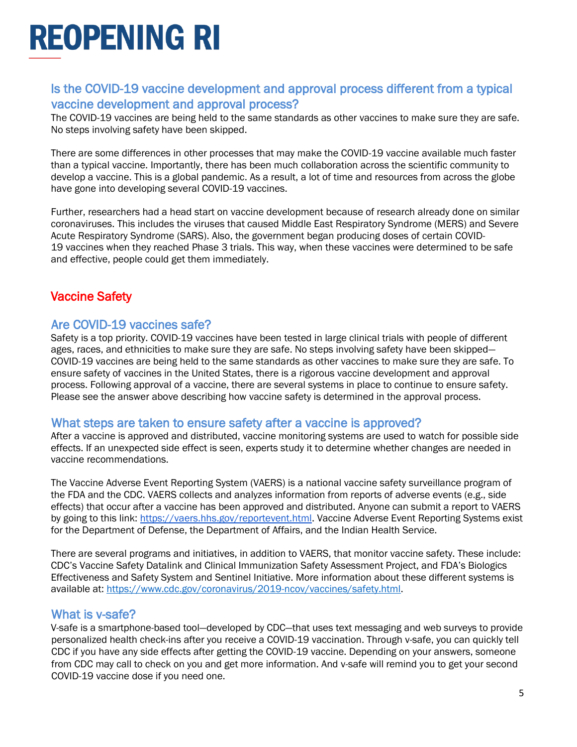## Is the COVID-19 vaccine development and approval process different from a typical vaccine development and approval process?

The COVID-19 vaccines are being held to the same standards as other vaccines to make sure they are safe. No steps involving safety have been skipped.

There are some differences in other processes that may make the COVID-19 vaccine available much faster than a typical vaccine. Importantly, there has been much collaboration across the scientific community to develop a vaccine. This is a global pandemic. As a result, a lot of time and resources from across the globe have gone into developing several COVID-19 vaccines.

Further, researchers had a head start on vaccine development because of research already done on similar coronaviruses. This includes the viruses that caused Middle East Respiratory Syndrome (MERS) and Severe Acute Respiratory Syndrome (SARS). Also, the government began producing doses of certain COVID-19 vaccines when they reached Phase 3 trials. This way, when these vaccines were determined to be safe and effective, people could get them immediately.

## <span id="page-4-0"></span>Vaccine Safety

#### Are COVID-19 vaccines safe?

Safety is a top priority. COVID-19 vaccines have been tested in large clinical trials with people of different ages, races, and ethnicities to make sure they are safe. No steps involving safety have been skipped— COVID-19 vaccines are being held to the same standards as other vaccines to make sure they are safe. To ensure safety of vaccines in the United States, there is a rigorous vaccine development and approval process. Following approval of a vaccine, there are several systems in place to continue to ensure safety. Please see the answer above describing how vaccine safety is determined in the approval process.

#### What steps are taken to ensure safety after a vaccine is approved?

After a vaccine is approved and distributed, vaccine monitoring systems are used to watch for possible side effects. If an unexpected side effect is seen, experts study it to determine whether changes are needed in vaccine recommendations.

The Vaccine Adverse Event Reporting System (VAERS) is a national vaccine safety surveillance program of the FDA and the CDC. VAERS collects and analyzes information from reports of adverse events (e.g., side effects) that occur after a vaccine has been approved and distributed. Anyone can submit a report to VAERS by going to this link: [https://vaers.hhs.gov/reportevent.html.](https://vaers.hhs.gov/reportevent.html) Vaccine Adverse Event Reporting Systems exist for the Department of Defense, the Department of Affairs, and the Indian Health Service.

There are several programs and initiatives, in addition to VAERS, that monitor vaccine safety. These include: CDC's Vaccine Safety Datalink and Clinical Immunization Safety Assessment Project, and FDA's Biologics Effectiveness and Safety System and Sentinel Initiative. More information about these different systems is available at: [https://www.cdc.gov/coronavirus/2019-ncov/vaccines/safety.html.](https://www.cdc.gov/coronavirus/2019-ncov/vaccines/safety.html)

#### What is v-safe?

V-safe is a smartphone-based tool—developed by CDC—that uses text messaging and web surveys to provide personalized health check-ins after you receive a COVID-19 vaccination. Through v-safe, you can quickly tell CDC if you have any side effects after getting the COVID-19 vaccine. Depending on your answers, someone from CDC may call to check on you and get more information. And v-safe will remind you to get your second COVID-19 vaccine dose if you need one.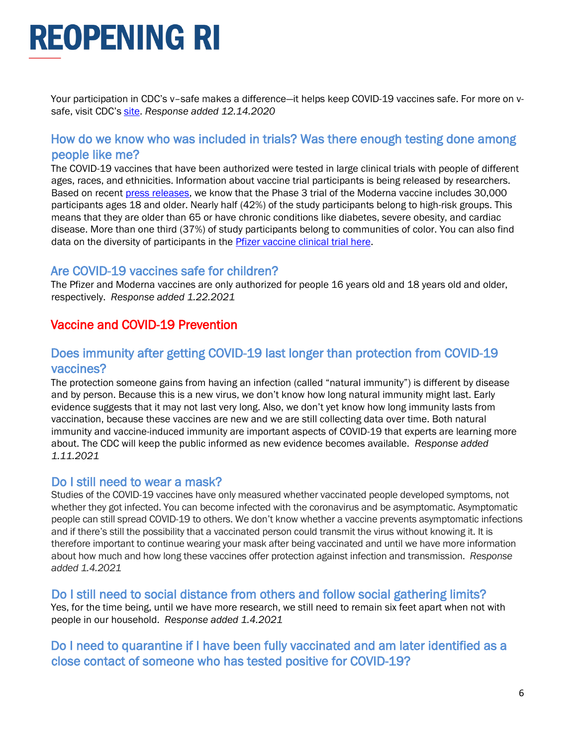Your participation in CDC's v–safe makes a difference—it helps keep COVID-19 vaccines safe. For more on vsafe, visit CDC's [site.](https://www.cdc.gov/coronavirus/2019-ncov/vaccines/safety/vsafe.html) *Response added 12.14.2020*

### How do we know who was included in trials? Was there enough testing done among people like me?

The COVID-19 vaccines that have been authorized were tested in large clinical trials with people of different ages, races, and ethnicities. Information about vaccine trial participants is being released by researchers. Based on recent [press releases,](https://investors.modernatx.com/news-releases/news-release-details/moderna-announces-primary-efficacy-analysis-phase-3-cove-study) we know that the Phase 3 trial of the Moderna vaccine includes 30,000 participants ages 18 and older. Nearly half (42%) of the study participants belong to high-risk groups. This means that they are older than 65 or have chronic conditions like diabetes, severe obesity, and cardiac disease. More than one third (37%) of study participants belong to communities of color. You can also find data on the diversity of participants in the **Pfizer vaccine clinical trial here**.

#### Are COVID-19 vaccines safe for children?

The Pfizer and Moderna vaccines are only authorized for people 16 years old and 18 years old and older, respectively. *Response added 1.22.2021*

### <span id="page-5-0"></span>Vaccine and COVID-19 Prevention

### Does immunity after getting COVID-19 last longer than protection from COVID-19 vaccines?

The protection someone gains from having an infection (called "natural immunity") is different by disease and by person. Because this is a new virus, we don't know how long natural immunity might last. Early evidence suggests that it may not last very long. Also, we don't yet know how long immunity lasts from vaccination, because these vaccines are new and we are still collecting data over time. Both natural immunity and vaccine-induced immunity are important aspects of COVID-19 that experts are learning more about. The CDC will keep the public informed as new evidence becomes available. *Response added 1.11.2021*

#### Do I still need to wear a mask?

Studies of the COVID-19 vaccines have only measured whether vaccinated people developed symptoms, not whether they got infected. You can become infected with the coronavirus and be asymptomatic. Asymptomatic people can still spread COVID-19 to others. We don't know whether a vaccine prevents asymptomatic infections and if there's still the possibility that a vaccinated person could transmit the virus without knowing it. It is therefore important to continue wearing your mask after being vaccinated and until we have more information about how much and how long these vaccines offer protection against infection and transmission. *Response added 1.4.2021*

#### Do I still need to social distance from others and follow social gathering limits?

Yes, for the time being, until we have more research, we still need to remain six feet apart when not with people in our household. *Response added 1.4.2021*

### Do I need to quarantine if I have been fully vaccinated and am later identified as a close contact of someone who has tested positive for COVID-19?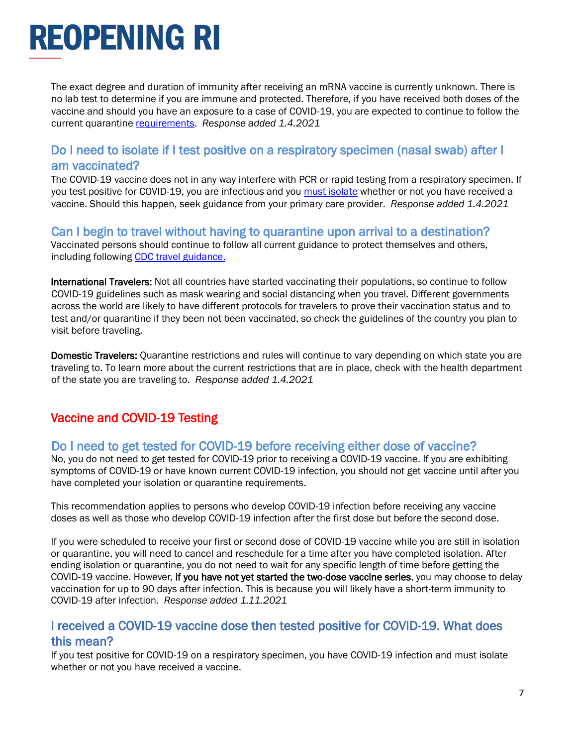The exact degree and duration of immunity after receiving an mRNA vaccine is currently unknown. There is no lab test to determine if you are immune and protected. Therefore, if you have received both doses of the vaccine and should you have an exposure to a case of COVID-19, you are expected to continue to follow the current quarantine [requirements.](https://covid.ri.gov/covid-19-prevention/quarantine-and-isolation) *Response added 1.4.2021*

#### Do I need to isolate if I test positive on a respiratory specimen (nasal swab) after I am vaccinated?

The COVID-19 vaccine does not in any way interfere with PCR or rapid testing from a respiratory specimen. If you test positive for COVID-19, you are infectious and you [must isolate](https://covid.ri.gov/covid-19-prevention/quarantine-and-isolation) whether or not you have received a vaccine. Should this happen, seek guidance from your primary care provider. *Response added 1.4.2021*

#### Can I begin to travel without having to quarantine upon arrival to a destination?

Vaccinated persons should continue to follow all current guidance to protect themselves and others, including following [CDC travel guidance.](https://www.cdc.gov/coronavirus/2019-ncov/travelers/index.html)

International Travelers: Not all countries have started vaccinating their populations, so continue to follow COVID-19 guidelines such as mask wearing and social distancing when you travel. Different governments across the world are likely to have different protocols for travelers to prove their vaccination status and to test and/or quarantine if they been not been vaccinated, so check the guidelines of the country you plan to visit before traveling.

Domestic Travelers: Quarantine restrictions and rules will continue to vary depending on which state you are traveling to. To learn more about the current restrictions that are in place, check with the health department of the state you are traveling to. *Response added 1.4.2021*

## <span id="page-6-0"></span>Vaccine and COVID-19 Testing

#### Do I need to get tested for COVID-19 before receiving either dose of vaccine?

No, you do not need to get tested for COVID-19 prior to receiving a COVID-19 vaccine. If you are exhibiting symptoms of COVID-19 or have known current COVID-19 infection, you should not get vaccine until after you have completed your isolation or quarantine requirements.

This recommendation applies to persons who develop COVID-19 infection before receiving any vaccine doses as well as those who develop COVID-19 infection after the first dose but before the second dose.

If you were scheduled to receive your first or second dose of COVID-19 vaccine while you are still in isolation or quarantine, you will need to cancel and reschedule for a time after you have completed isolation. After ending isolation or quarantine, you do not need to wait for any specific length of time before getting the COVID-19 vaccine. However, if you have not yet started the two-dose vaccine series, you may choose to delay vaccination for up to 90 days after infection. This is because you will likely have a short-term immunity to COVID-19 after infection. *Response added 1.11.2021*

### I received a COVID-19 vaccine dose then tested positive for COVID-19. What does this mean?

If you test positive for COVID-19 on a respiratory specimen, you have COVID-19 infection and must isolate whether or not you have received a vaccine.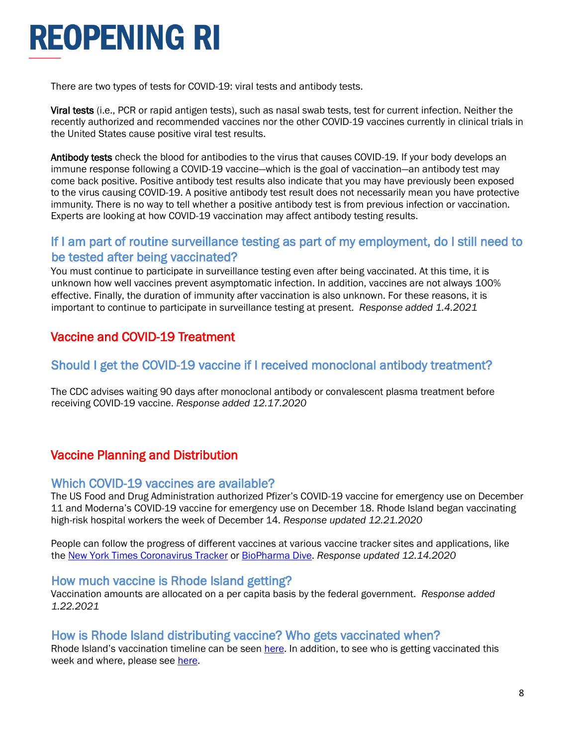There are two types of tests for COVID-19: viral tests and antibody tests.

Viral tests (i.e., PCR or rapid antigen tests), such as nasal swab tests, test for current infection. Neither the recently authorized and recommended vaccines nor the other COVID-19 vaccines currently in clinical trials in the United States cause positive viral test results.

Antibody tests check the blood for antibodies to the virus that causes COVID-19. If your body develops an immune response following a COVID-19 vaccine—which is the goal of vaccination—an antibody test may come back positive. Positive antibody test results also indicate that you may have previously been exposed to the virus causing COVID-19. A positive antibody test result does not necessarily mean you have protective immunity. There is no way to tell whether a positive antibody test is from previous infection or vaccination. Experts are looking at how COVID-19 vaccination may affect antibody testing results.

### If I am part of routine surveillance testing as part of my employment, do I still need to be tested after being vaccinated?

You must continue to participate in surveillance testing even after being vaccinated. At this time, it is unknown how well vaccines prevent asymptomatic infection. In addition, vaccines are not always 100% effective. Finally, the duration of immunity after vaccination is also unknown. For these reasons, it is important to continue to participate in surveillance testing at present. *Response added 1.4.2021*

## <span id="page-7-0"></span>Vaccine and COVID-19 Treatment

## Should I get the COVID-19 vaccine if I received monoclonal antibody treatment?

The CDC advises waiting 90 days after monoclonal antibody or convalescent plasma treatment before receiving COVID-19 vaccine. *Response added 12.17.2020*

## <span id="page-7-1"></span>Vaccine Planning and Distribution

#### Which COVID-19 vaccines are available?

The US Food and Drug Administration authorized Pfizer's COVID-19 vaccine for emergency use on December 11 and Moderna's COVID-19 vaccine for emergency use on December 18. Rhode Island began vaccinating high-risk hospital workers the week of December 14. *Response updated 12.21.2020*

People can follow the progress of different vaccines at various vaccine tracker sites and applications, like the [New York Times Coronavirus Tracker](https://www.nytimes.com/interactive/2020/science/coronavirus-vaccine-tracker.html) or [BioPharma Dive.](https://www.biopharmadive.com/news/coronavirus-vaccine-pipeline-types/579122/) *Response updated 12.14.2020*

#### How much vaccine is Rhode Island getting?

Vaccination amounts are allocated on a per capita basis by the federal government. *Response added 1.22.2021*

#### How is Rhode Island distributing vaccine? Who gets vaccinated when?

Rhode Island's vaccination timeline can be seen [here.](https://health.ri.gov/publications/guidelines/COVID19-vaccine-timeline.pdf) In addition, to see who is getting vaccinated this week and where, please see [here.](https://docs.google.com/spreadsheets/d/1rcqXfFqnv1o6AFZe1zczfkRvI6cL3-6uNrgP91da3gA/edit#gid=0)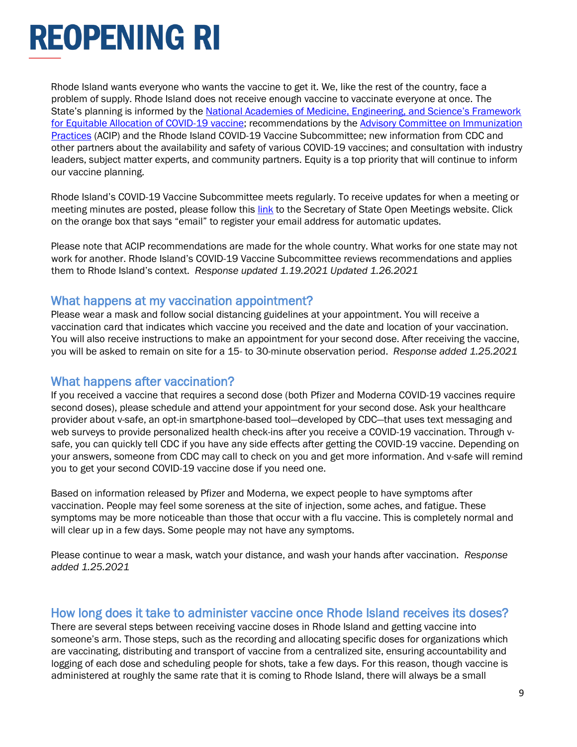Rhode Island wants everyone who wants the vaccine to get it. We, like the rest of the country, face a problem of supply. Rhode Island does not receive enough vaccine to vaccinate everyone at once. The State's planning is informed by the [National Academies of Medicine, Engineering, and Science's Framework](https://www.nap.edu/catalog/25917/framework-for-equitable-allocation-of-covid-19-vaccine)  [for Equitable Allocation of COVID-19 vaccine;](https://www.nap.edu/catalog/25917/framework-for-equitable-allocation-of-covid-19-vaccine) recommendations by the [Advisory Committee on Immunization](https://www.cdc.gov/vaccines/acip/index.html)  [Practices](https://www.cdc.gov/vaccines/acip/index.html) (ACIP) and the Rhode Island COVID-19 Vaccine Subcommittee; new information from CDC and other partners about the availability and safety of various COVID-19 vaccines; and consultation with industry leaders, subject matter experts, and community partners. Equity is a top priority that will continue to inform our vaccine planning.

Rhode Island's COVID-19 Vaccine Subcommittee meets regularly. To receive updates for when a meeting or meeting minutes are posted, please follow this [link](https://opengov.sos.ri.gov/OpenMeetingsPublic/OpenMeetingDashboard?subtopmenuId=201&EntityID=7277) to the Secretary of State Open Meetings website. Click on the orange box that says "email" to register your email address for automatic updates.

Please note that ACIP recommendations are made for the whole country. What works for one state may not work for another. Rhode Island's COVID-19 Vaccine Subcommittee reviews recommendations and applies them to Rhode Island's context. *Response updated 1.19.2021 Updated 1.26.2021*

#### What happens at my vaccination appointment?

Please wear a mask and follow social distancing guidelines at your appointment. You will receive a vaccination card that indicates which vaccine you received and the date and location of your vaccination. You will also receive instructions to make an appointment for your second dose. After receiving the vaccine, you will be asked to remain on site for a 15- to 30-minute observation period. *Response added 1.25.2021*

### What happens after vaccination?

If you received a vaccine that requires a second dose (both Pfizer and Moderna COVID-19 vaccines require second doses), please schedule and attend your appointment for your second dose. Ask your healthcare provider about v-safe, an opt-in smartphone-based tool—developed by CDC—that uses text messaging and web surveys to provide personalized health check-ins after you receive a COVID-19 vaccination. Through vsafe, you can quickly tell CDC if you have any side effects after getting the COVID-19 vaccine. Depending on your answers, someone from CDC may call to check on you and get more information. And v-safe will remind you to get your second COVID-19 vaccine dose if you need one.

Based on information released by Pfizer and Moderna, we expect people to have symptoms after vaccination. People may feel some soreness at the site of injection, some aches, and fatigue. These symptoms may be more noticeable than those that occur with a flu vaccine. This is completely normal and will clear up in a few days. Some people may not have any symptoms.

Please continue to wear a mask, watch your distance, and wash your hands after vaccination. *Response added 1.25.2021*

#### How long does it take to administer vaccine once Rhode Island receives its doses?

There are several steps between receiving vaccine doses in Rhode Island and getting vaccine into someone's arm. Those steps, such as the recording and allocating specific doses for organizations which are vaccinating, distributing and transport of vaccine from a centralized site, ensuring accountability and logging of each dose and scheduling people for shots, take a few days. For this reason, though vaccine is administered at roughly the same rate that it is coming to Rhode Island, there will always be a small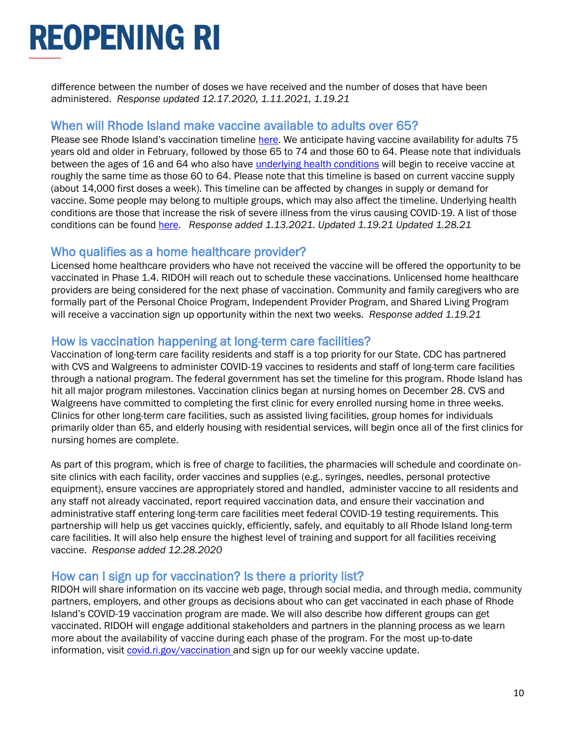difference between the number of doses we have received and the number of doses that have been administered. *Response updated 12.17.2020, 1.11.2021, 1.19.21*

#### When will Rhode Island make vaccine available to adults over 65?

Please see Rhode Island's vaccination timeline [here.](https://health.ri.gov/publications/guidelines/COVID19-vaccine-timeline.pdf) We anticipate having vaccine availability for adults 75 years old and older in February, followed by those 65 to 74 and those 60 to 64. Please note that individuals between the ages of 16 and 64 who also have [underlying health conditions](https://health.ri.gov/publications/guidelines/COVID19-underlying-conditions.pdf) will begin to receive vaccine at roughly the same time as those 60 to 64. Please note that this timeline is based on current vaccine supply (about 14,000 first doses a week). This timeline can be affected by changes in supply or demand for vaccine. Some people may belong to multiple groups, which may also affect the timeline. Underlying health conditions are those that increase the risk of severe illness from the virus causing COVID-19. A list of those conditions can be found [here.](https://health.ri.gov/publications/guidelines/COVID19-underlying-conditions.pdf) *Response added 1.13.2021. Updated 1.19.21 Updated 1.28.21*

#### Who qualifies as a home healthcare provider?

Licensed home healthcare providers who have not received the vaccine will be offered the opportunity to be vaccinated in Phase 1.4. RIDOH will reach out to schedule these vaccinations. Unlicensed home healthcare providers are being considered for the next phase of vaccination. Community and family caregivers who are formally part of the Personal Choice Program, Independent Provider Program, and Shared Living Program will receive a vaccination sign up opportunity within the next two weeks. *Response added 1.19.21*

#### How is vaccination happening at long-term care facilities?

Vaccination of long-term care facility residents and staff is a top priority for our State. CDC has partnered with CVS and Walgreens to administer COVID-19 vaccines to residents and staff of long-term care facilities through a national program. The federal government has set the timeline for this program. Rhode Island has hit all major program milestones. Vaccination clinics began at nursing homes on December 28. CVS and Walgreens have committed to completing the first clinic for every enrolled nursing home in three weeks. Clinics for other long-term care facilities, such as assisted living facilities, group homes for individuals primarily older than 65, and elderly housing with residential services, will begin once all of the first clinics for nursing homes are complete.

As part of this program, which is free of charge to facilities, the pharmacies will schedule and coordinate onsite clinics with each facility, order vaccines and supplies (e.g., syringes, needles, personal protective equipment), ensure vaccines are appropriately stored and handled, administer vaccine to all residents and any staff not already vaccinated, report required vaccination data, and ensure their vaccination and administrative staff entering long-term care facilities meet federal COVID-19 testing requirements. This partnership will help us get vaccines quickly, efficiently, safely, and equitably to all Rhode Island long-term care facilities. It will also help ensure the highest level of training and support for all facilities receiving vaccine. *Response added 12.28.2020*

#### How can I sign up for vaccination? Is there a priority list?

RIDOH will share information on its vaccine web page, through social media, and through media, community partners, employers, and other groups as decisions about who can get vaccinated in each phase of Rhode Island's COVID-19 vaccination program are made. We will also describe how different groups can get vaccinated. RIDOH will engage additional stakeholders and partners in the planning process as we learn more about the availability of vaccine during each phase of the program. For the most up-to-date information, visi[t covid.ri.gov/vaccination](https://covid.ri.gov/vaccination) and sign up for our weekly vaccine update.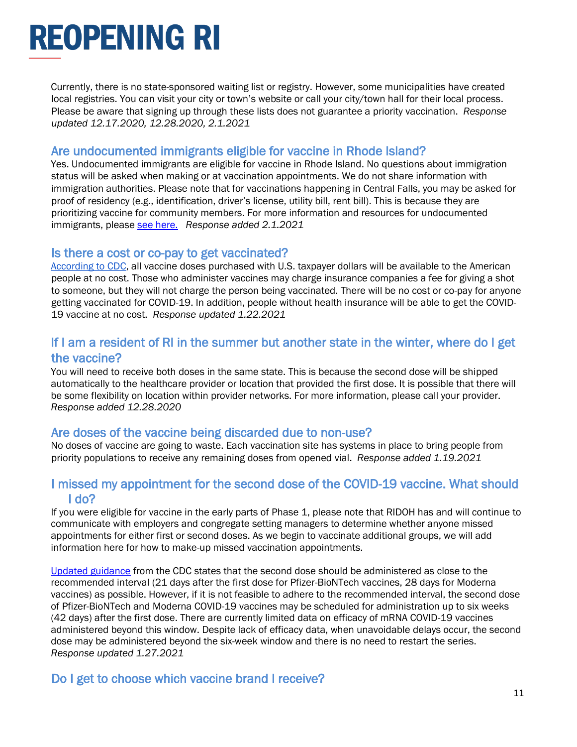Currently, there is no state-sponsored waiting list or registry. However, some municipalities have created local registries. You can visit your city or town's website or call your city/town hall for their local process. Please be aware that signing up through these lists does not guarantee a priority vaccination. *Response updated 12.17.2020, 12.28.2020, 2.1.2021*

#### Are undocumented immigrants eligible for vaccine in Rhode Island?

Yes. Undocumented immigrants are eligible for vaccine in Rhode Island. No questions about immigration status will be asked when making or at vaccination appointments. We do not share information with immigration authorities. Please note that for vaccinations happening in Central Falls, you may be asked for proof of residency (e.g., identification, driver's license, utility bill, rent bill). This is because they are prioritizing vaccine for community members. For more information and resources for undocumented immigrants, please [see here.](https://covid.ri.gov/public/undocumented-immigrants) *Response added 2.1.2021*

#### Is there a cost or co-pay to get vaccinated?

[According to CDC,](https://www.cdc.gov/coronavirus/2019-ncov/vaccines/faq.html#planning) all vaccine doses purchased with U.S. taxpayer dollars will be available to the American people at no cost. Those who administer vaccines may charge insurance companies a fee for giving a shot to someone, but they will not charge the person being vaccinated. There will be no cost or co-pay for anyone getting vaccinated for COVID-19. In addition, people without health insurance will be able to get the COVID-19 vaccine at no cost. *Response updated 1.22.2021*

#### If I am a resident of RI in the summer but another state in the winter, where do I get the vaccine?

You will need to receive both doses in the same state. This is because the second dose will be shipped automatically to the healthcare provider or location that provided the first dose. It is possible that there will be some flexibility on location within provider networks. For more information, please call your provider. *Response added 12.28.2020*

### Are doses of the vaccine being discarded due to non-use?

No doses of vaccine are going to waste. Each vaccination site has systems in place to bring people from priority populations to receive any remaining doses from opened vial. *Response added 1.19.2021*

#### I missed my appointment for the second dose of the COVID-19 vaccine. What should I do?

If you were eligible for vaccine in the early parts of Phase 1, please note that RIDOH has and will continue to communicate with employers and congregate setting managers to determine whether anyone missed appointments for either first or second doses. As we begin to vaccinate additional groups, we will add information here for how to make-up missed vaccination appointments.

[Updated guidance](https://www.cdc.gov/vaccines/covid-19/info-by-product/clinical-considerations.html?CDC_AA_refVal=https%3A%2F%2Fwww.cdc.gov%2Fvaccines%2Fcovid-19%2Finfo-by-product%2Fpfizer%2Fclinical-considerations.html) from the CDC states that the second dose should be administered as close to the recommended interval (21 days after the first dose for Pfizer-BioNTech vaccines, 28 days for Moderna vaccines) as possible. However, if it is not feasible to adhere to the recommended interval, the second dose of Pfizer-BioNTech and Moderna COVID-19 vaccines may be scheduled for administration up to six weeks (42 days) after the first dose. There are currently limited data on efficacy of mRNA COVID-19 vaccines administered beyond this window. Despite lack of efficacy data, when unavoidable delays occur, the second dose may be administered beyond the six-week window and there is no need to restart the series. *Response updated 1.27.2021*

### Do I get to choose which vaccine brand I receive?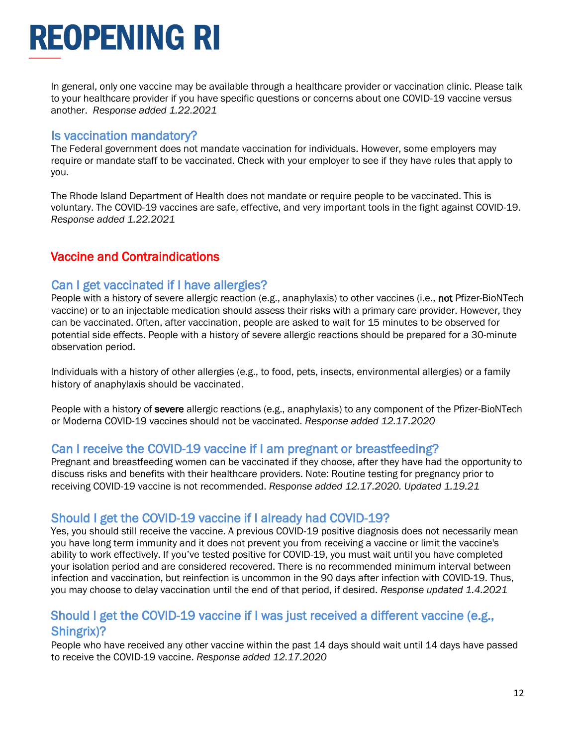In general, only one vaccine may be available through a healthcare provider or vaccination clinic. Please talk to your healthcare provider if you have specific questions or concerns about one COVID-19 vaccine versus another. *Response added 1.22.2021*

#### Is vaccination mandatory?

The Federal government does not mandate vaccination for individuals. However, some employers may require or mandate staff to be vaccinated. Check with your employer to see if they have rules that apply to you.

The Rhode Island Department of Health does not mandate or require people to be vaccinated. This is voluntary. The COVID-19 vaccines are safe, effective, and very important tools in the fight against COVID-19. *Response added 1.22.2021*

## <span id="page-11-0"></span>Vaccine and Contraindications

### Can I get vaccinated if I have allergies?

People with a history of severe allergic reaction (e.g., anaphylaxis) to other vaccines (i.e., not Pfizer-BioNTech vaccine) or to an injectable medication should assess their risks with a primary care provider. However, they can be vaccinated. Often, after vaccination, people are asked to wait for 15 minutes to be observed for potential side effects. People with a history of severe allergic reactions should be prepared for a 30-minute observation period.

Individuals with a history of other allergies (e.g., to food, pets, insects, environmental allergies) or a family history of anaphylaxis should be vaccinated.

People with a history of severe allergic reactions (e.g., anaphylaxis) to any component of the Pfizer-BioNTech or Moderna COVID-19 vaccines should not be vaccinated. *Response added 12.17.2020*

### Can I receive the COVID-19 vaccine if I am pregnant or breastfeeding?

Pregnant and breastfeeding women can be vaccinated if they choose, after they have had the opportunity to discuss risks and benefits with their healthcare providers. Note: Routine testing for pregnancy prior to receiving COVID-19 vaccine is not recommended. *Response added 12.17.2020. Updated 1.19.21*

## Should I get the COVID-19 vaccine if I already had COVID-19?

Yes, you should still receive the vaccine. A previous COVID-19 positive diagnosis does not necessarily mean you have long term immunity and it does not prevent you from receiving a vaccine or limit the vaccine's ability to work effectively. If you've tested positive for COVID-19, you must wait until you have completed your isolation period and are considered recovered. There is no recommended minimum interval between infection and vaccination, but reinfection is uncommon in the 90 days after infection with COVID-19. Thus, you may choose to delay vaccination until the end of that period, if desired. *Response updated 1.4.2021*

### Should I get the COVID-19 vaccine if I was just received a different vaccine (e.g., Shingrix)?

People who have received any other vaccine within the past 14 days should wait until 14 days have passed to receive the COVID-19 vaccine. *Response added 12.17.2020*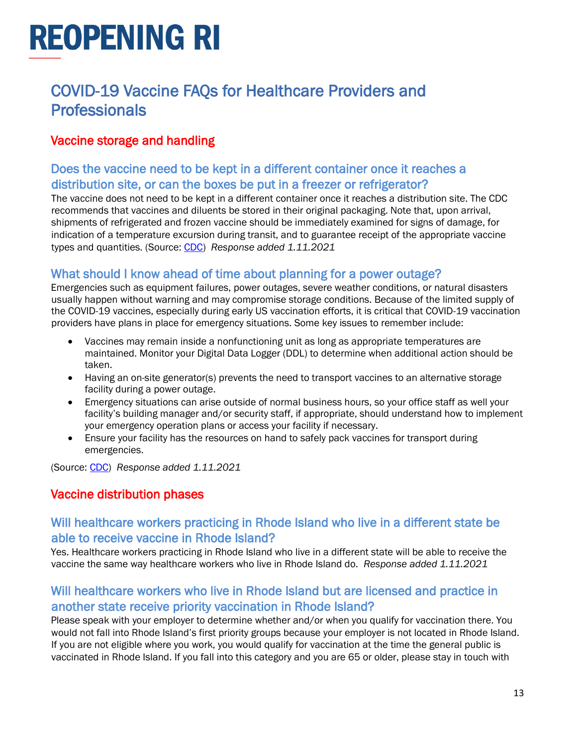## <span id="page-12-0"></span>COVID-19 Vaccine FAQs for Healthcare Providers and **Professionals**

## <span id="page-12-1"></span>Vaccine storage and handling

### Does the vaccine need to be kept in a different container once it reaches a distribution site, or can the boxes be put in a freezer or refrigerator?

The vaccine does not need to be kept in a different container once it reaches a distribution site. The CDC recommends that vaccines and diluents be stored in their original packaging. Note that, upon arrival, shipments of refrigerated and frozen vaccine should be immediately examined for signs of damage, for indication of a temperature excursion during transit, and to guarantee receipt of the appropriate vaccine types and quantities. (Source: [CDC\)](https://www.cdc.gov/vaccines/hcp/admin/storage/toolkit/storage-handling-toolkit.pdf) *Response added 1.11.2021*

### What should I know ahead of time about planning for a power outage?

Emergencies such as equipment failures, power outages, severe weather conditions, or natural disasters usually happen without warning and may compromise storage conditions. Because of the limited supply of the COVID-19 vaccines, especially during early US vaccination efforts, it is critical that COVID-19 vaccination providers have plans in place for emergency situations. Some key issues to remember include:

- Vaccines may remain inside a nonfunctioning unit as long as appropriate temperatures are maintained. Monitor your Digital Data Logger (DDL) to determine when additional action should be taken.
- Having an on-site generator(s) prevents the need to transport vaccines to an alternative storage facility during a power outage.
- Emergency situations can arise outside of normal business hours, so your office staff as well your facility's building manager and/or security staff, if appropriate, should understand how to implement your emergency operation plans or access your facility if necessary.
- Ensure your facility has the resources on hand to safely pack vaccines for transport during emergencies.

(Source: [CDC\)](https://www.cdc.gov/vaccines/hcp/admin/storage/toolkit/storage-handling-toolkit.pdf) *Response added 1.11.2021*

### <span id="page-12-2"></span>Vaccine distribution phases

### Will healthcare workers practicing in Rhode Island who live in a different state be able to receive vaccine in Rhode Island?

Yes. Healthcare workers practicing in Rhode Island who live in a different state will be able to receive the vaccine the same way healthcare workers who live in Rhode Island do. *Response added 1.11.2021*

### Will healthcare workers who live in Rhode Island but are licensed and practice in another state receive priority vaccination in Rhode Island?

Please speak with your employer to determine whether and/or when you qualify for vaccination there. You would not fall into Rhode Island's first priority groups because your employer is not located in Rhode Island. If you are not eligible where you work, you would qualify for vaccination at the time the general public is vaccinated in Rhode Island. If you fall into this category and you are 65 or older, please stay in touch with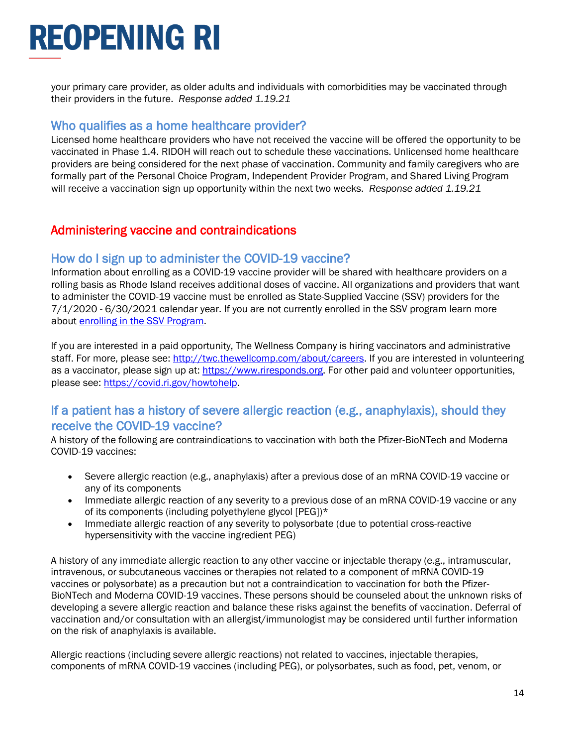your primary care provider, as older adults and individuals with comorbidities may be vaccinated through their providers in the future. *Response added 1.19.21* 

#### Who qualifies as a home healthcare provider?

Licensed home healthcare providers who have not received the vaccine will be offered the opportunity to be vaccinated in Phase 1.4. RIDOH will reach out to schedule these vaccinations. Unlicensed home healthcare providers are being considered for the next phase of vaccination. Community and family caregivers who are formally part of the Personal Choice Program, Independent Provider Program, and Shared Living Program will receive a vaccination sign up opportunity within the next two weeks. *Response added 1.19.21*

## <span id="page-13-0"></span>Administering vaccine and contraindications

### How do I sign up to administer the COVID-19 vaccine?

Information about enrolling as a COVID-19 vaccine provider will be shared with healthcare providers on a rolling basis as Rhode Island receives additional doses of vaccine. All organizations and providers that want to administer the COVID-19 vaccine must be enrolled as State-Supplied Vaccine (SSV) providers for the 7/1/2020 - 6/30/2021 calendar year. If you are not currently enrolled in the SSV program learn more about [enrolling in the SSV Program.](https://health.ri.gov/immunization/for/providers/)

If you are interested in a paid opportunity, The Wellness Company is hiring vaccinators and administrative staff. For more, please see: [http://twc.thewellcomp.com/about/careers.](http://twc.thewellcomp.com/about/careers) If you are interested in volunteering as a vaccinator, please sign up at: [https://www.riresponds.org.](https://www.riresponds.org/) For other paid and volunteer opportunities, please see: [https://covid.ri.gov/howtohelp.](https://covid.ri.gov/howtohelp)

### If a patient has a history of severe allergic reaction (e.g., anaphylaxis), should they receive the COVID-19 vaccine?

A history of the following are contraindications to vaccination with both the Pfizer-BioNTech and Moderna COVID-19 vaccines:

- Severe allergic reaction (e.g., anaphylaxis) after a previous dose of an mRNA COVID-19 vaccine or any of its components
- Immediate allergic reaction of any severity to a previous dose of an mRNA COVID-19 vaccine or any of its components (including polyethylene glycol [PEG])\*
- Immediate allergic reaction of any severity to polysorbate (due to potential cross-reactive hypersensitivity with the vaccine ingredient PEG)

A history of any immediate allergic reaction to any other vaccine or injectable therapy (e.g., intramuscular, intravenous, or subcutaneous vaccines or therapies not related to a component of mRNA COVID-19 vaccines or polysorbate) as a precaution but not a contraindication to vaccination for both the Pfizer-BioNTech and Moderna COVID-19 vaccines. These persons should be counseled about the unknown risks of developing a severe allergic reaction and balance these risks against the benefits of vaccination. Deferral of vaccination and/or consultation with an allergist/immunologist may be considered until further information on the risk of anaphylaxis is available.

Allergic reactions (including severe allergic reactions) not related to vaccines, injectable therapies, components of mRNA COVID-19 vaccines (including PEG), or polysorbates, such as food, pet, venom, or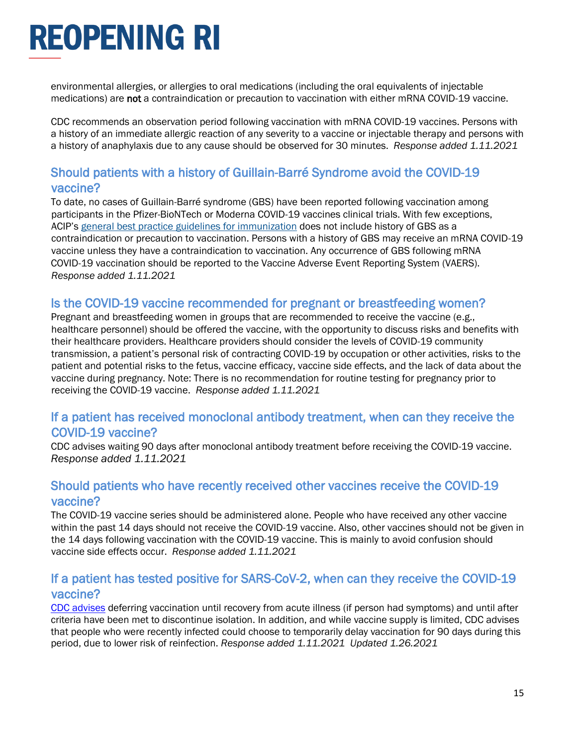environmental allergies, or allergies to oral medications (including the oral equivalents of injectable medications) are not a contraindication or precaution to vaccination with either mRNA COVID-19 vaccine.

CDC recommends an observation period following vaccination with mRNA COVID-19 vaccines. Persons with a history of an immediate allergic reaction of any severity to a vaccine or injectable therapy and persons with a history of anaphylaxis due to any cause should be observed for 30 minutes. *Response added 1.11.2021*

### Should patients with a history of Guillain-Barré Syndrome avoid the COVID-19 vaccine?

To date, no cases of Guillain-Barré syndrome (GBS) have been reported following vaccination among participants in the Pfizer-BioNTech or Moderna COVID-19 vaccines clinical trials. With few exceptions, ACIP's [general best practice guidelines for immunization](https://www.cdc.gov/vaccines/hcp/acip-recs/general-recs/index.html) does not include history of GBS as a contraindication or precaution to vaccination. Persons with a history of GBS may receive an mRNA COVID-19 vaccine unless they have a contraindication to vaccination. Any occurrence of GBS following mRNA COVID-19 vaccination should be reported to the Vaccine Adverse Event Reporting System (VAERS). *Response added 1.11.2021*

### Is the COVID-19 vaccine recommended for pregnant or breastfeeding women?

Pregnant and breastfeeding women in groups that are recommended to receive the vaccine (e.g., healthcare personnel) should be offered the vaccine, with the opportunity to discuss risks and benefits with their healthcare providers. Healthcare providers should consider the levels of COVID-19 community transmission, a patient's personal risk of contracting COVID-19 by occupation or other activities, risks to the patient and potential risks to the fetus, vaccine efficacy, vaccine side effects, and the lack of data about the vaccine during pregnancy. Note: There is no recommendation for routine testing for pregnancy prior to receiving the COVID-19 vaccine. *Response added 1.11.2021*

### If a patient has received monoclonal antibody treatment, when can they receive the COVID-19 vaccine?

CDC advises waiting 90 days after monoclonal antibody treatment before receiving the COVID-19 vaccine. *Response added 1.11.2021*

#### Should patients who have recently received other vaccines receive the COVID-19 vaccine?

The COVID-19 vaccine series should be administered alone. People who have received any other vaccine within the past 14 days should not receive the COVID-19 vaccine. Also, other vaccines should not be given in the 14 days following vaccination with the COVID-19 vaccine. This is mainly to avoid confusion should vaccine side effects occur. *Response added 1.11.2021*

### If a patient has tested positive for SARS-CoV-2, when can they receive the COVID-19 vaccine?

[CDC advises](https://www.cdc.gov/vaccines/covid-19/info-by-product/clinical-considerations.html?CDC_AA_refVal=https%3A%2F%2Fwww.cdc.gov%2Fvaccines%2Fcovid-19%2Finfo-by-product%2Fpfizer%2Fclinical-considerations.html) deferring vaccination until recovery from acute illness (if person had symptoms) and until after criteria have been met to discontinue isolation. In addition, and while vaccine supply is limited, CDC advises that people who were recently infected could choose to temporarily delay vaccination for 90 days during this period, due to lower risk of reinfection. *Response added 1.11.2021 Updated 1.26.2021*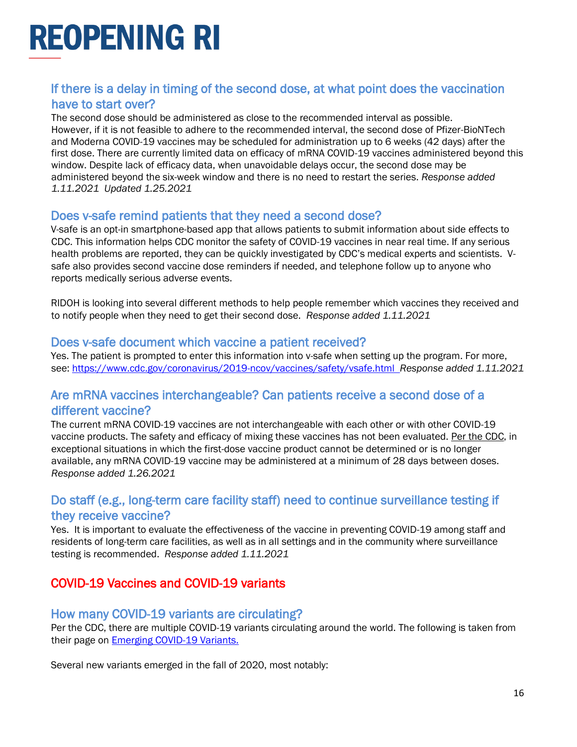### If there is a delay in timing of the second dose, at what point does the vaccination have to start over?

The second dose should be administered as close to the recommended interval as possible. However, if it is not feasible to adhere to the recommended interval, the second dose of Pfizer-BioNTech and Moderna COVID-19 vaccines may be scheduled for administration up to 6 weeks (42 days) after the first dose. There are currently limited data on efficacy of mRNA COVID-19 vaccines administered beyond this window. Despite lack of efficacy data, when unavoidable delays occur, the second dose may be administered beyond the six-week window and there is no need to restart the series. *Response added 1.11.2021 Updated 1.25.2021*

#### Does v-safe remind patients that they need a second dose?

V-safe is an opt-in smartphone-based app that allows patients to submit information about side effects to CDC. This information helps CDC monitor the safety of COVID-19 vaccines in near real time. If any serious health problems are reported, they can be quickly investigated by CDC's medical experts and scientists. Vsafe also provides second vaccine dose reminders if needed, and telephone follow up to anyone who reports medically serious adverse events.

RIDOH is looking into several different methods to help people remember which vaccines they received and to notify people when they need to get their second dose. *Response added 1.11.2021*

#### Does v-safe document which vaccine a patient received?

Yes. The patient is prompted to enter this information into v-safe when setting up the program. For more, see:<https://www.cdc.gov/coronavirus/2019-ncov/vaccines/safety/vsafe.html>*Response added 1.11.2021*

### Are mRNA vaccines interchangeable? Can patients receive a second dose of a different vaccine?

The current mRNA COVID-19 vaccines are not interchangeable with each other or with other COVID-19 vaccine products. The safety and efficacy of mixing these vaccines has not been evaluated. [Per the CDC,](https://www.cdc.gov/vaccines/covid-19/info-by-product/clinical-considerations.html?CDC_AA_refVal=https%3A%2F%2Fwww.cdc.gov%2Fvaccines%2Fcovid-19%2Finfo-by-product%2Fpfizer%2Fclinical-considerations.html) in exceptional situations in which the first-dose vaccine product cannot be determined or is no longer available, any mRNA COVID-19 vaccine may be administered at a minimum of 28 days between doses. *Response added 1.26.2021*

### Do staff (e.g., long-term care facility staff) need to continue surveillance testing if they receive vaccine?

Yes. It is important to evaluate the effectiveness of the vaccine in preventing COVID-19 among staff and residents of long-term care facilities, as well as in all settings and in the community where surveillance testing is recommended. *Response added 1.11.2021*

## <span id="page-15-0"></span>COVID-19 Vaccines and COVID-19 variants

#### How many COVID-19 variants are circulating?

Per the CDC, there are multiple COVID-19 variants circulating around the world. The following is taken from their page on [Emerging COVID-19 Variants.](https://www.cdc.gov/coronavirus/2019-ncov/transmission/variant.html)

Several new variants emerged in the fall of 2020, most notably: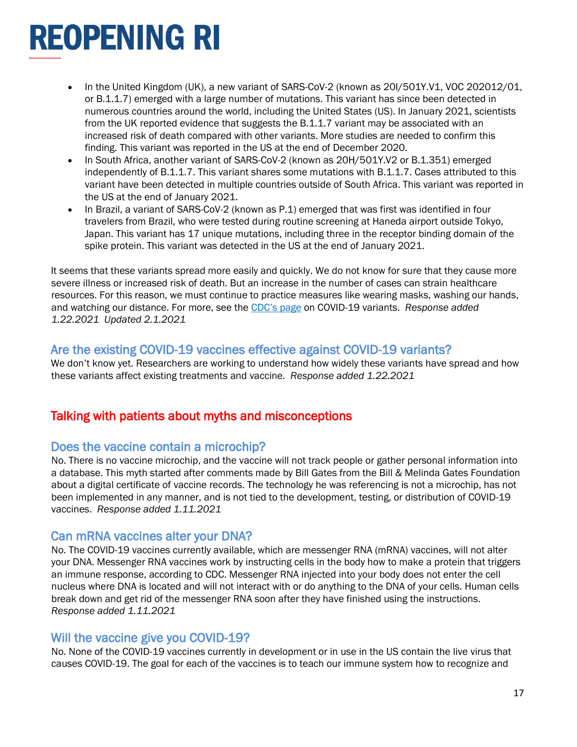- In the United Kingdom (UK), a new variant of SARS-CoV-2 (known as 20I/501Y.V1, VOC 202012/01, or B.1.1.7) emerged with a large number of mutations. This variant has since been detected in numerous countries around the world, including the United States (US). In January 2021, scientists from the UK reported evidence that suggests the B.1.1.7 variant may be associated with an increased risk of death compared with other variants. More studies are needed to confirm this finding. This variant was reported in the US at the end of December 2020.
- In South Africa, another variant of SARS-CoV-2 (known as 20H/501Y.V2 or B.1.351) emerged independently of B.1.1.7. This variant shares some mutations with B.1.1.7. Cases attributed to this variant have been detected in multiple countries outside of South Africa. This variant was reported in the US at the end of January 2021.
- In Brazil, a variant of SARS-CoV-2 (known as P.1) emerged that was first was identified in four travelers from Brazil, who were tested during routine screening at Haneda airport outside Tokyo, Japan. This variant has 17 unique mutations, including three in the receptor binding domain of the spike protein. This variant was detected in the US at the end of January 2021.

It seems that these variants spread more easily and quickly. We do not know for sure that they cause more severe illness or increased risk of death. But an increase in the number of cases can strain healthcare resources. For this reason, we must continue to practice measures like wearing masks, washing our hands, and watching our distance. For more, see the [CDC's page](https://www.cdc.gov/coronavirus/2019-ncov/transmission/variant.html) on COVID-19 variants. *Response added 1.22.2021 Updated 2.1.2021*

### Are the existing COVID-19 vaccines effective against COVID-19 variants?

We don't know yet. Researchers are working to understand how widely these variants have spread and how these variants affect existing treatments and vaccine. *Response added 1.22.2021*

### <span id="page-16-0"></span>Talking with patients about myths and misconceptions

### Does the vaccine contain a microchip?

No. There is no vaccine microchip, and the vaccine will not track people or gather personal information into a database. This myth started after comments made by Bill Gates from the Bill & Melinda Gates Foundation about a digital certificate of vaccine records. The technology he was referencing is not a microchip, has not been implemented in any manner, and is not tied to the development, testing, or distribution of COVID-19 vaccines. *Response added 1.11.2021*

#### Can mRNA vaccines alter your DNA?

No. The COVID-19 vaccines currently available, which are messenger RNA (mRNA) vaccines, will not alter your DNA. Messenger RNA vaccines work by instructing cells in the body how to make a protein that triggers an immune response, according to CDC. Messenger RNA injected into your body does not enter the cell nucleus where DNA is located and will not interact with or do anything to the DNA of your cells. Human cells break down and get rid of the messenger RNA soon after they have finished using the instructions. *Response added 1.11.2021*

#### Will the vaccine give you COVID-19?

No. None of the COVID-19 vaccines currently in development or in use in the US contain the live virus that causes COVID-19. The goal for each of the vaccines is to teach our immune system how to recognize and